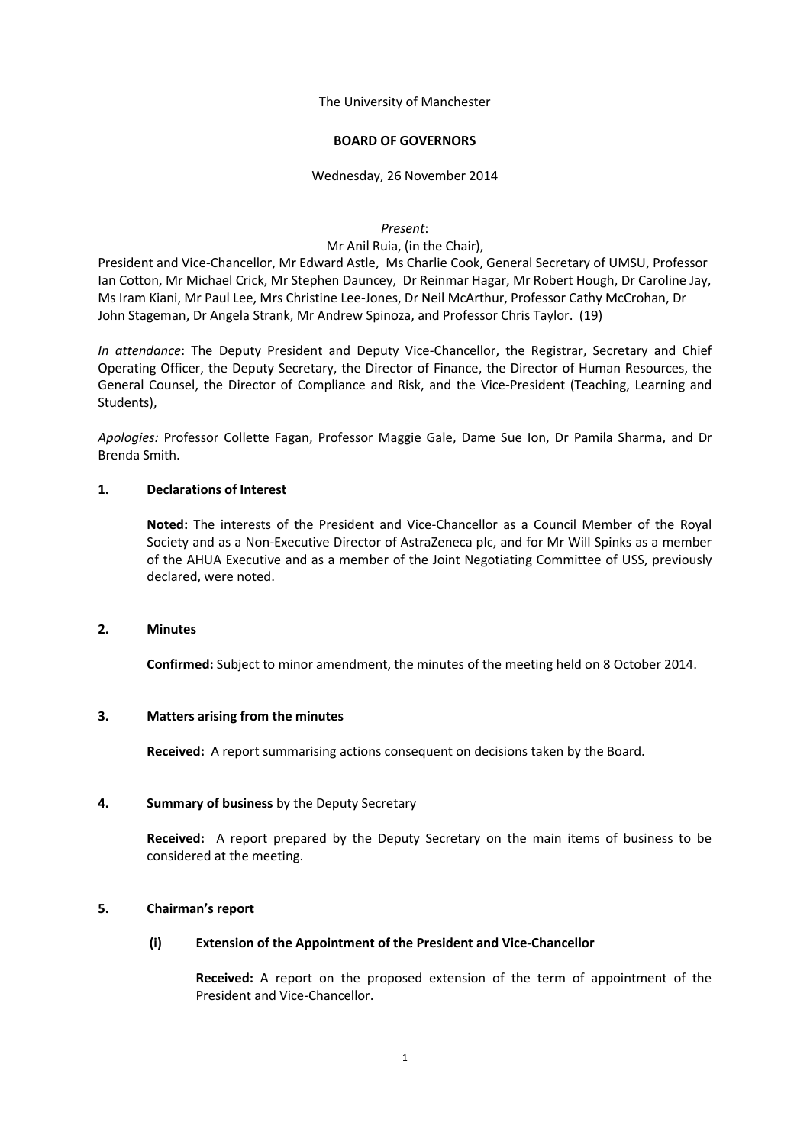The University of Manchester

## **BOARD OF GOVERNORS**

### Wednesday, 26 November 2014

#### *Present*:

### Mr Anil Ruia, (in the Chair),

President and Vice-Chancellor, Mr Edward Astle, Ms Charlie Cook, General Secretary of UMSU, Professor Ian Cotton, Mr Michael Crick, Mr Stephen Dauncey, Dr Reinmar Hagar, Mr Robert Hough, Dr Caroline Jay, Ms Iram Kiani, Mr Paul Lee, Mrs Christine Lee-Jones, Dr Neil McArthur, Professor Cathy McCrohan, Dr John Stageman, Dr Angela Strank, Mr Andrew Spinoza, and Professor Chris Taylor. (19)

*In attendance*: The Deputy President and Deputy Vice-Chancellor, the Registrar, Secretary and Chief Operating Officer, the Deputy Secretary, the Director of Finance, the Director of Human Resources, the General Counsel, the Director of Compliance and Risk, and the Vice-President (Teaching, Learning and Students),

*Apologies:* Professor Collette Fagan, Professor Maggie Gale, Dame Sue Ion, Dr Pamila Sharma, and Dr Brenda Smith.

## **1. Declarations of Interest**

**Noted:** The interests of the President and Vice-Chancellor as a Council Member of the Royal Society and as a Non-Executive Director of AstraZeneca plc, and for Mr Will Spinks as a member of the AHUA Executive and as a member of the Joint Negotiating Committee of USS, previously declared, were noted.

#### **2. Minutes**

**Confirmed:** Subject to minor amendment, the minutes of the meeting held on 8 October 2014.

## **3. Matters arising from the minutes**

**Received:** A report summarising actions consequent on decisions taken by the Board.

#### **4. Summary of business** by the Deputy Secretary

**Received:** A report prepared by the Deputy Secretary on the main items of business to be considered at the meeting.

## **5. Chairman's report**

## **(i) Extension of the Appointment of the President and Vice-Chancellor**

**Received:** A report on the proposed extension of the term of appointment of the President and Vice-Chancellor.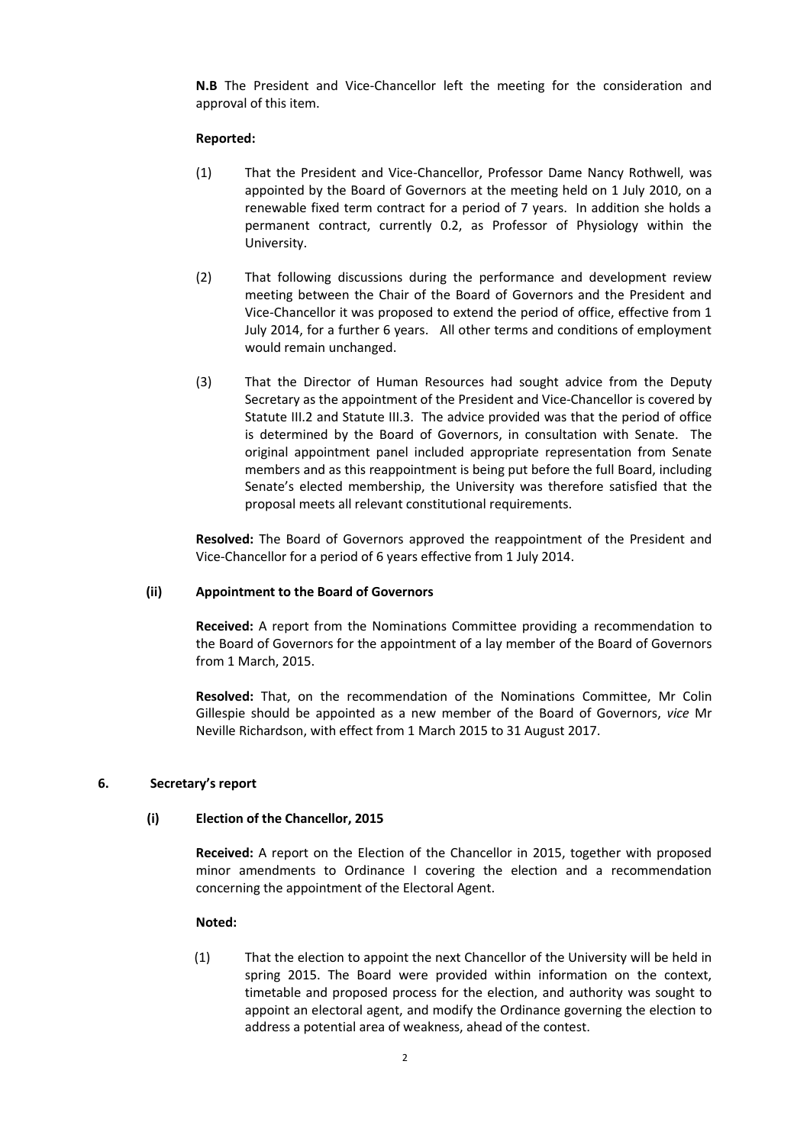**N.B** The President and Vice-Chancellor left the meeting for the consideration and approval of this item.

### **Reported:**

- (1) That the President and Vice-Chancellor, Professor Dame Nancy Rothwell, was appointed by the Board of Governors at the meeting held on 1 July 2010, on a renewable fixed term contract for a period of 7 years. In addition she holds a permanent contract, currently 0.2, as Professor of Physiology within the University.
- (2) That following discussions during the performance and development review meeting between the Chair of the Board of Governors and the President and Vice-Chancellor it was proposed to extend the period of office, effective from 1 July 2014, for a further 6 years. All other terms and conditions of employment would remain unchanged.
- (3) That the Director of Human Resources had sought advice from the Deputy Secretary as the appointment of the President and Vice-Chancellor is covered by Statute III.2 and Statute III.3. The advice provided was that the period of office is determined by the Board of Governors, in consultation with Senate. The original appointment panel included appropriate representation from Senate members and as this reappointment is being put before the full Board, including Senate's elected membership, the University was therefore satisfied that the proposal meets all relevant constitutional requirements.

**Resolved:** The Board of Governors approved the reappointment of the President and Vice-Chancellor for a period of 6 years effective from 1 July 2014.

## **(ii) Appointment to the Board of Governors**

**Received:** A report from the Nominations Committee providing a recommendation to the Board of Governors for the appointment of a lay member of the Board of Governors from 1 March, 2015.

**Resolved:** That, on the recommendation of the Nominations Committee, Mr Colin Gillespie should be appointed as a new member of the Board of Governors, *vice* Mr Neville Richardson, with effect from 1 March 2015 to 31 August 2017.

### **6. Secretary's report**

#### **(i) Election of the Chancellor, 2015**

**Received:** A report on the Election of the Chancellor in 2015, together with proposed minor amendments to Ordinance I covering the election and a recommendation concerning the appointment of the Electoral Agent.

#### **Noted:**

(1) That the election to appoint the next Chancellor of the University will be held in spring 2015. The Board were provided within information on the context, timetable and proposed process for the election, and authority was sought to appoint an electoral agent, and modify the Ordinance governing the election to address a potential area of weakness, ahead of the contest.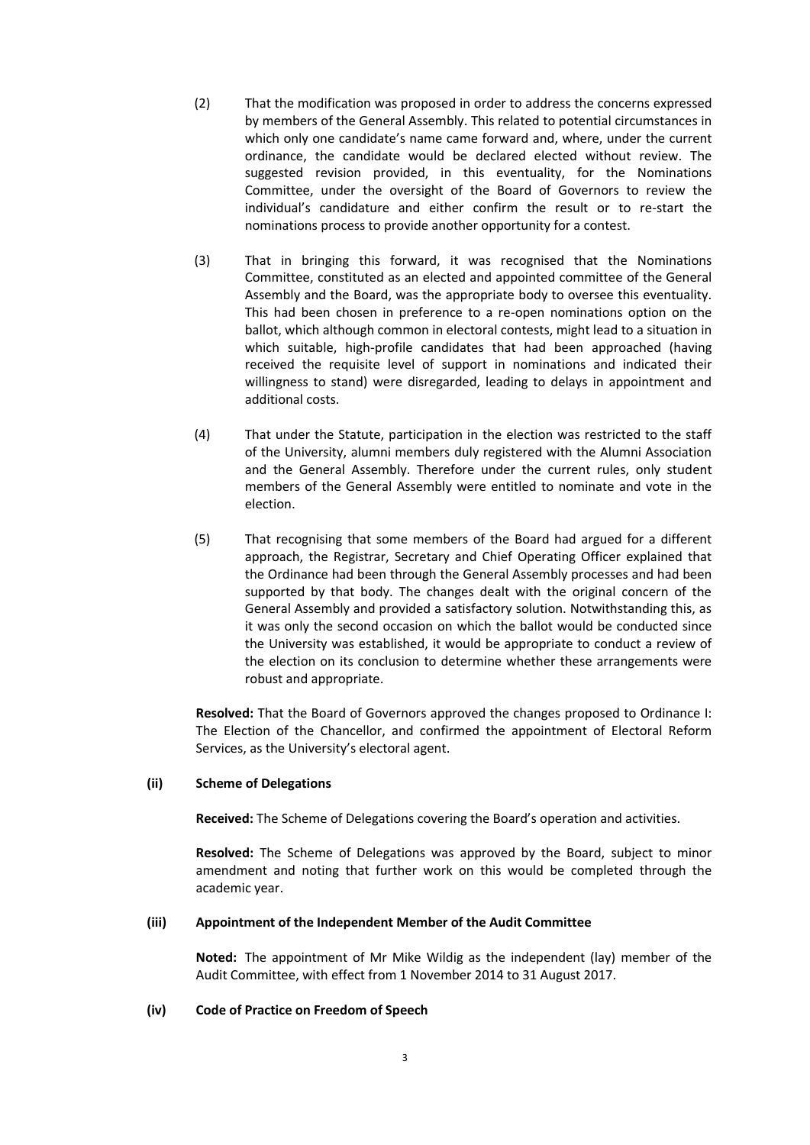- (2) That the modification was proposed in order to address the concerns expressed by members of the General Assembly. This related to potential circumstances in which only one candidate's name came forward and, where, under the current ordinance, the candidate would be declared elected without review. The suggested revision provided, in this eventuality, for the Nominations Committee, under the oversight of the Board of Governors to review the individual's candidature and either confirm the result or to re-start the nominations process to provide another opportunity for a contest.
- (3) That in bringing this forward, it was recognised that the Nominations Committee, constituted as an elected and appointed committee of the General Assembly and the Board, was the appropriate body to oversee this eventuality. This had been chosen in preference to a re-open nominations option on the ballot, which although common in electoral contests, might lead to a situation in which suitable, high-profile candidates that had been approached (having received the requisite level of support in nominations and indicated their willingness to stand) were disregarded, leading to delays in appointment and additional costs.
- (4) That under the Statute, participation in the election was restricted to the staff of the University, alumni members duly registered with the Alumni Association and the General Assembly. Therefore under the current rules, only student members of the General Assembly were entitled to nominate and vote in the election.
- (5) That recognising that some members of the Board had argued for a different approach, the Registrar, Secretary and Chief Operating Officer explained that the Ordinance had been through the General Assembly processes and had been supported by that body. The changes dealt with the original concern of the General Assembly and provided a satisfactory solution. Notwithstanding this, as it was only the second occasion on which the ballot would be conducted since the University was established, it would be appropriate to conduct a review of the election on its conclusion to determine whether these arrangements were robust and appropriate.

**Resolved:** That the Board of Governors approved the changes proposed to Ordinance I: The Election of the Chancellor, and confirmed the appointment of Electoral Reform Services, as the University's electoral agent.

## **(ii) Scheme of Delegations**

**Received:** The Scheme of Delegations covering the Board's operation and activities.

**Resolved:** The Scheme of Delegations was approved by the Board, subject to minor amendment and noting that further work on this would be completed through the academic year.

#### **(iii) Appointment of the Independent Member of the Audit Committee**

**Noted:** The appointment of Mr Mike Wildig as the independent (lay) member of the Audit Committee, with effect from 1 November 2014 to 31 August 2017.

#### **(iv) Code of Practice on Freedom of Speech**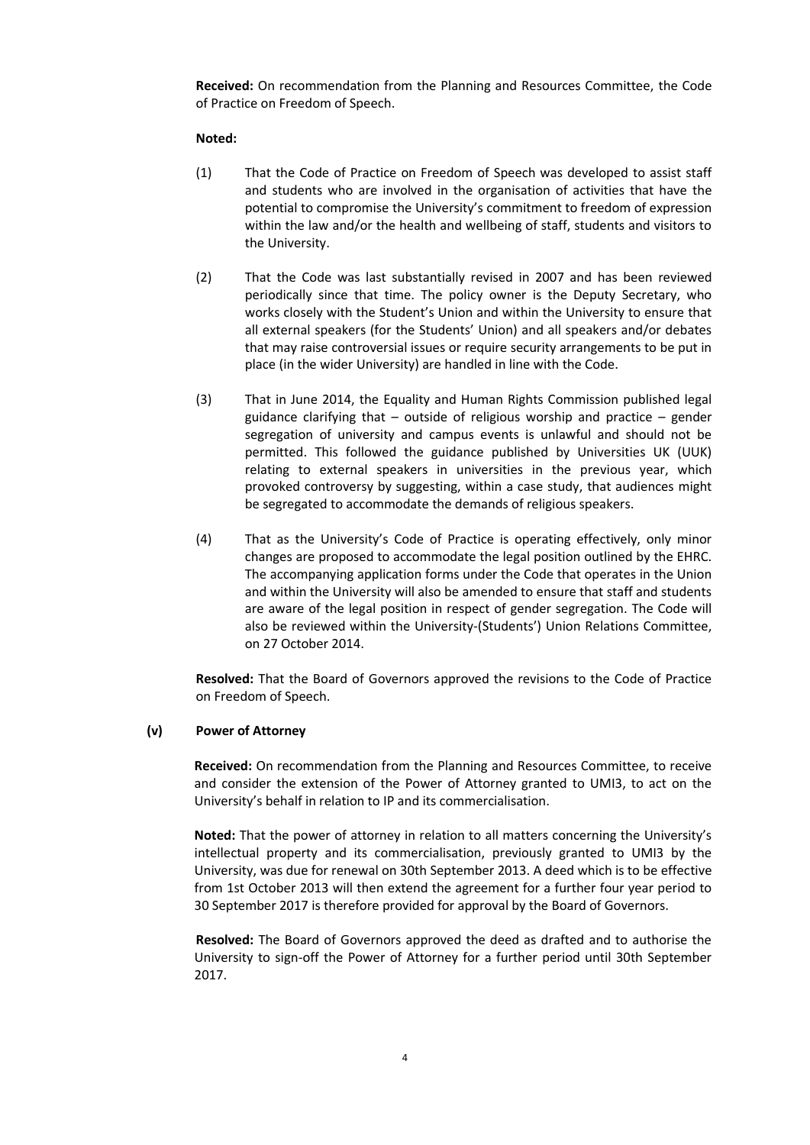**Received:** On recommendation from the Planning and Resources Committee, the Code of Practice on Freedom of Speech.

## **Noted:**

- (1) That the Code of Practice on Freedom of Speech was developed to assist staff and students who are involved in the organisation of activities that have the potential to compromise the University's commitment to freedom of expression within the law and/or the health and wellbeing of staff, students and visitors to the University.
- (2) That the Code was last substantially revised in 2007 and has been reviewed periodically since that time. The policy owner is the Deputy Secretary, who works closely with the Student's Union and within the University to ensure that all external speakers (for the Students' Union) and all speakers and/or debates that may raise controversial issues or require security arrangements to be put in place (in the wider University) are handled in line with the Code.
- (3) That in June 2014, the Equality and Human Rights Commission published legal guidance clarifying that  $-$  outside of religious worship and practice  $-$  gender segregation of university and campus events is unlawful and should not be permitted. This followed the guidance published by Universities UK (UUK) relating to external speakers in universities in the previous year, which provoked controversy by suggesting, within a case study, that audiences might be segregated to accommodate the demands of religious speakers.
- (4) That as the University's Code of Practice is operating effectively, only minor changes are proposed to accommodate the legal position outlined by the EHRC. The accompanying application forms under the Code that operates in the Union and within the University will also be amended to ensure that staff and students are aware of the legal position in respect of gender segregation. The Code will also be reviewed within the University-(Students') Union Relations Committee, on 27 October 2014.

**Resolved:** That the Board of Governors approved the revisions to the Code of Practice on Freedom of Speech.

## **(v) Power of Attorney**

**Received:** On recommendation from the Planning and Resources Committee, to receive and consider the extension of the Power of Attorney granted to UMI3, to act on the University's behalf in relation to IP and its commercialisation.

**Noted:** That the power of attorney in relation to all matters concerning the University's intellectual property and its commercialisation, previously granted to UMI3 by the University, was due for renewal on 30th September 2013. A deed which is to be effective from 1st October 2013 will then extend the agreement for a further four year period to 30 September 2017 is therefore provided for approval by the Board of Governors.

**Resolved:** The Board of Governors approved the deed as drafted and to authorise the University to sign-off the Power of Attorney for a further period until 30th September 2017.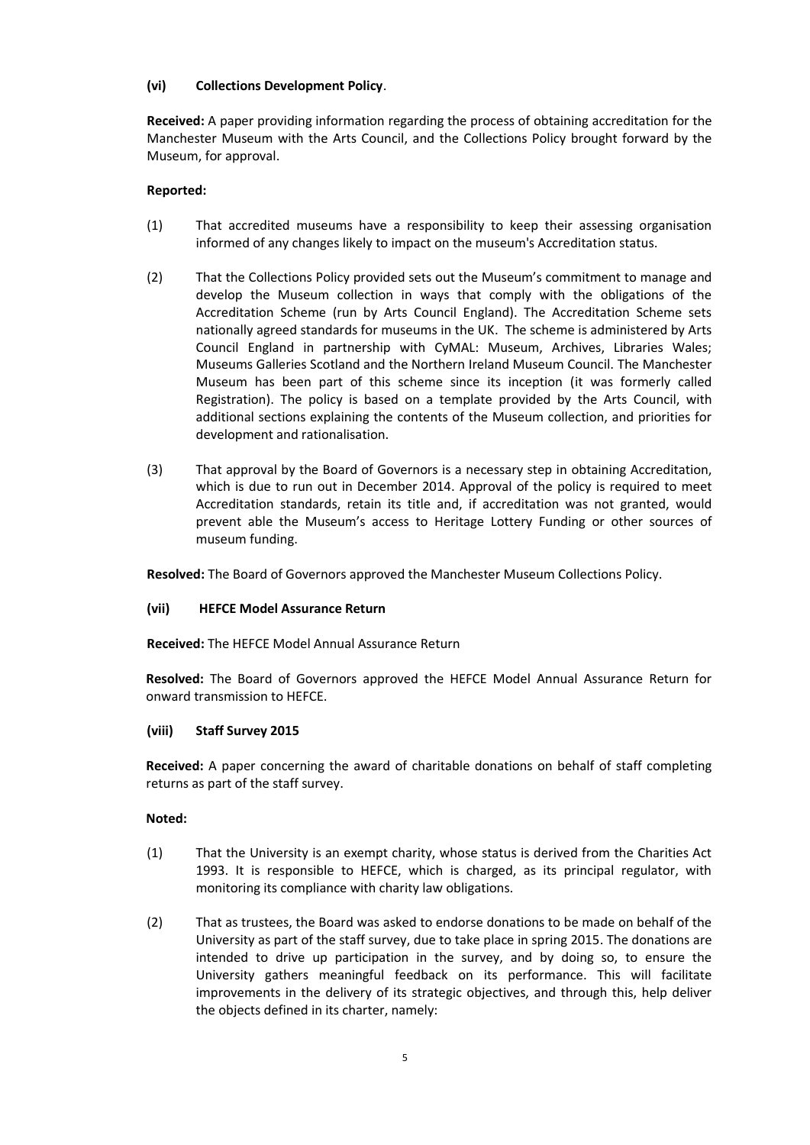## **(vi) Collections Development Policy**.

**Received:** A paper providing information regarding the process of obtaining accreditation for the Manchester Museum with the Arts Council, and the Collections Policy brought forward by the Museum, for approval.

## **Reported:**

- (1) That accredited museums have a responsibility to keep their assessing organisation informed of any changes likely to impact on the museum's Accreditation status.
- (2) That the Collections Policy provided sets out the Museum's commitment to manage and develop the Museum collection in ways that comply with the obligations of the Accreditation Scheme (run by Arts Council England). The Accreditation Scheme sets nationally agreed standards for museums in the UK. The scheme is administered by Arts Council England in partnership with CyMAL: Museum, Archives, Libraries Wales; Museums Galleries Scotland and the Northern Ireland Museum Council. The Manchester Museum has been part of this scheme since its inception (it was formerly called Registration). The policy is based on a template provided by the Arts Council, with additional sections explaining the contents of the Museum collection, and priorities for development and rationalisation.
- (3) That approval by the Board of Governors is a necessary step in obtaining Accreditation, which is due to run out in December 2014. Approval of the policy is required to meet Accreditation standards, retain its title and, if accreditation was not granted, would prevent able the Museum's access to Heritage Lottery Funding or other sources of museum funding.

**Resolved:** The Board of Governors approved the Manchester Museum Collections Policy.

# **(vii) HEFCE Model Assurance Return**

**Received:** The HEFCE Model Annual Assurance Return

**Resolved:** The Board of Governors approved the HEFCE Model Annual Assurance Return for onward transmission to HEFCE.

## **(viii) Staff Survey 2015**

**Received:** A paper concerning the award of charitable donations on behalf of staff completing returns as part of the staff survey.

## **Noted:**

- (1) That the University is an exempt charity, whose status is derived from the Charities Act 1993. It is responsible to HEFCE, which is charged, as its principal regulator, with monitoring its compliance with charity law obligations.
- (2) That as trustees, the Board was asked to endorse donations to be made on behalf of the University as part of the staff survey, due to take place in spring 2015. The donations are intended to drive up participation in the survey, and by doing so, to ensure the University gathers meaningful feedback on its performance. This will facilitate improvements in the delivery of its strategic objectives, and through this, help deliver the objects defined in its charter, namely: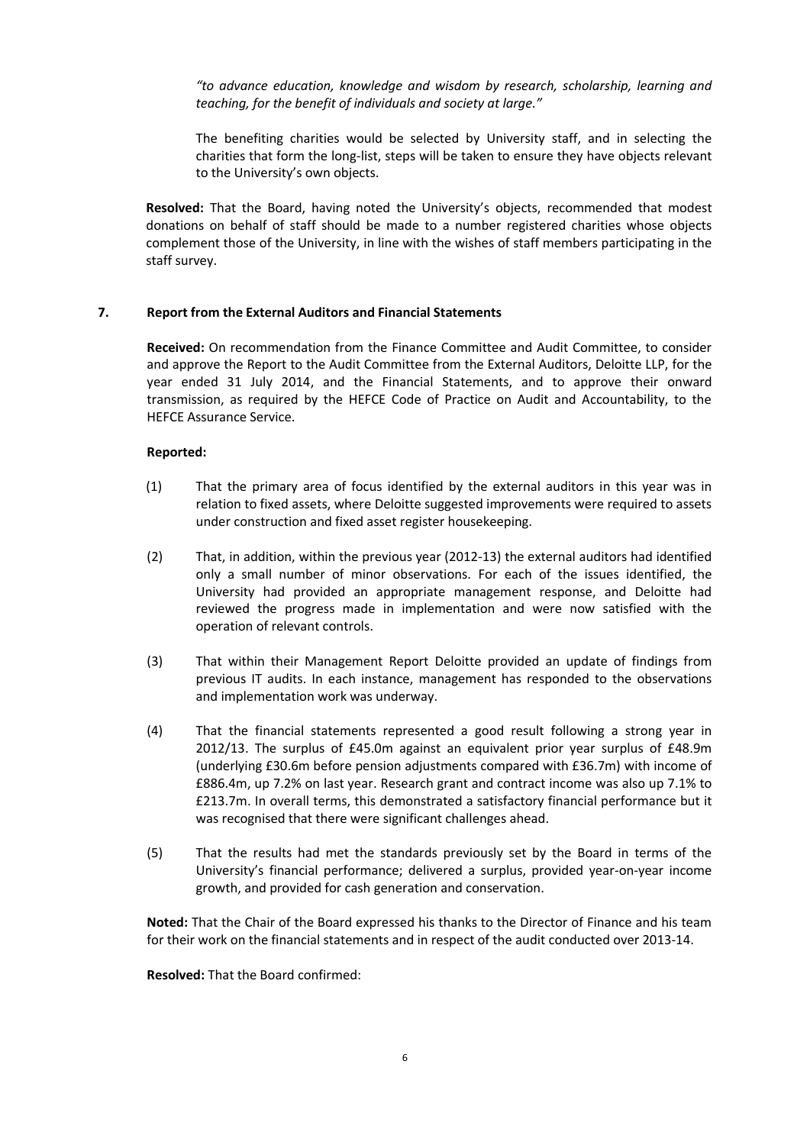*"to advance education, knowledge and wisdom by research, scholarship, learning and teaching, for the benefit of individuals and society at large."*

The benefiting charities would be selected by University staff, and in selecting the charities that form the long-list, steps will be taken to ensure they have objects relevant to the University's own objects.

**Resolved:** That the Board, having noted the University's objects, recommended that modest donations on behalf of staff should be made to a number registered charities whose objects complement those of the University, in line with the wishes of staff members participating in the staff survey.

# **7. Report from the External Auditors and Financial Statements**

**Received:** On recommendation from the Finance Committee and Audit Committee, to consider and approve the Report to the Audit Committee from the External Auditors, Deloitte LLP, for the year ended 31 July 2014, and the Financial Statements, and to approve their onward transmission, as required by the HEFCE Code of Practice on Audit and Accountability, to the HEFCE Assurance Service.

## **Reported:**

- (1) That the primary area of focus identified by the external auditors in this year was in relation to fixed assets, where Deloitte suggested improvements were required to assets under construction and fixed asset register housekeeping.
- (2) That, in addition, within the previous year (2012-13) the external auditors had identified only a small number of minor observations. For each of the issues identified, the University had provided an appropriate management response, and Deloitte had reviewed the progress made in implementation and were now satisfied with the operation of relevant controls.
- (3) That within their Management Report Deloitte provided an update of findings from previous IT audits. In each instance, management has responded to the observations and implementation work was underway.
- (4) That the financial statements represented a good result following a strong year in 2012/13. The surplus of £45.0m against an equivalent prior year surplus of £48.9m (underlying £30.6m before pension adjustments compared with £36.7m) with income of £886.4m, up 7.2% on last year. Research grant and contract income was also up 7.1% to £213.7m. In overall terms, this demonstrated a satisfactory financial performance but it was recognised that there were significant challenges ahead.
- (5) That the results had met the standards previously set by the Board in terms of the University's financial performance; delivered a surplus, provided year-on-year income growth, and provided for cash generation and conservation.

**Noted:** That the Chair of the Board expressed his thanks to the Director of Finance and his team for their work on the financial statements and in respect of the audit conducted over 2013-14.

**Resolved:** That the Board confirmed: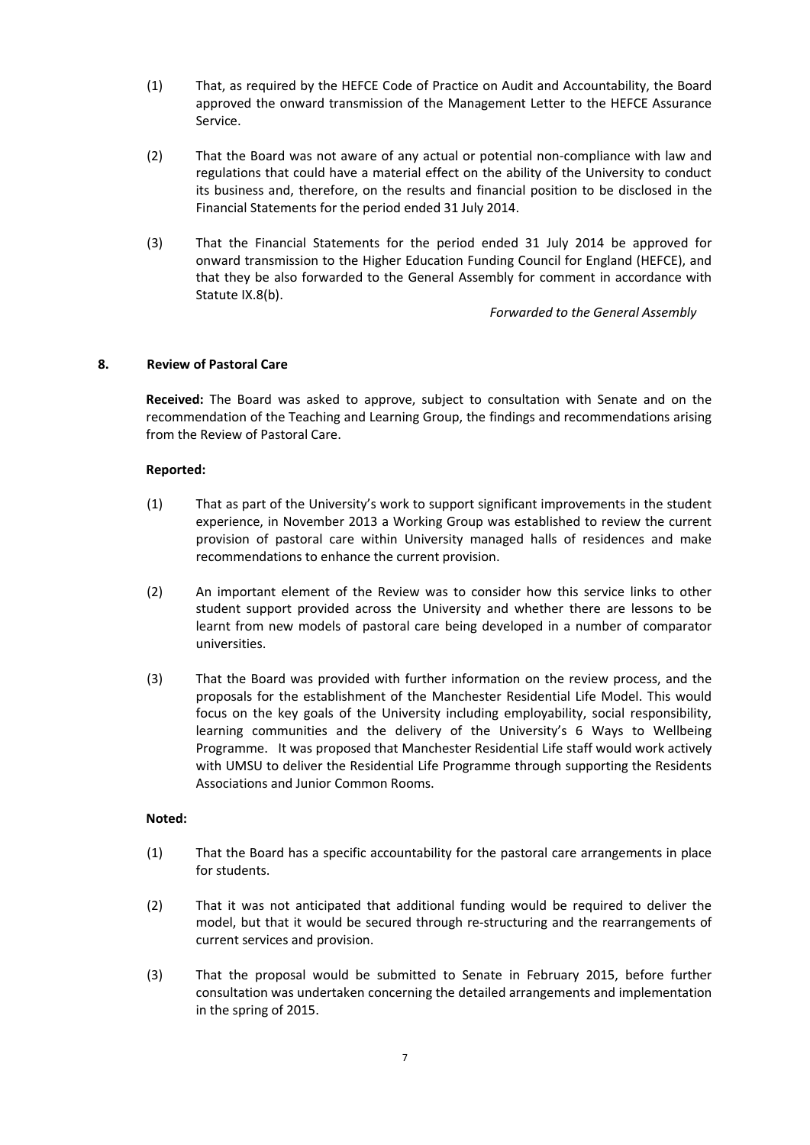- (1) That, as required by the HEFCE Code of Practice on Audit and Accountability, the Board approved the onward transmission of the Management Letter to the HEFCE Assurance Service.
- (2) That the Board was not aware of any actual or potential non-compliance with law and regulations that could have a material effect on the ability of the University to conduct its business and, therefore, on the results and financial position to be disclosed in the Financial Statements for the period ended 31 July 2014.
- (3) That the Financial Statements for the period ended 31 July 2014 be approved for onward transmission to the Higher Education Funding Council for England (HEFCE), and that they be also forwarded to the General Assembly for comment in accordance with Statute IX.8(b).

*Forwarded to the General Assembly*

## **8. Review of Pastoral Care**

**Received:** The Board was asked to approve, subject to consultation with Senate and on the recommendation of the Teaching and Learning Group, the findings and recommendations arising from the Review of Pastoral Care.

## **Reported:**

- (1) That as part of the University's work to support significant improvements in the student experience, in November 2013 a Working Group was established to review the current provision of pastoral care within University managed halls of residences and make recommendations to enhance the current provision.
- (2) An important element of the Review was to consider how this service links to other student support provided across the University and whether there are lessons to be learnt from new models of pastoral care being developed in a number of comparator universities.
- (3) That the Board was provided with further information on the review process, and the proposals for the establishment of the Manchester Residential Life Model. This would focus on the key goals of the University including employability, social responsibility, learning communities and the delivery of the University's 6 Ways to Wellbeing Programme. It was proposed that Manchester Residential Life staff would work actively with UMSU to deliver the Residential Life Programme through supporting the Residents Associations and Junior Common Rooms.

## **Noted:**

- (1) That the Board has a specific accountability for the pastoral care arrangements in place for students.
- (2) That it was not anticipated that additional funding would be required to deliver the model, but that it would be secured through re-structuring and the rearrangements of current services and provision.
- (3) That the proposal would be submitted to Senate in February 2015, before further consultation was undertaken concerning the detailed arrangements and implementation in the spring of 2015.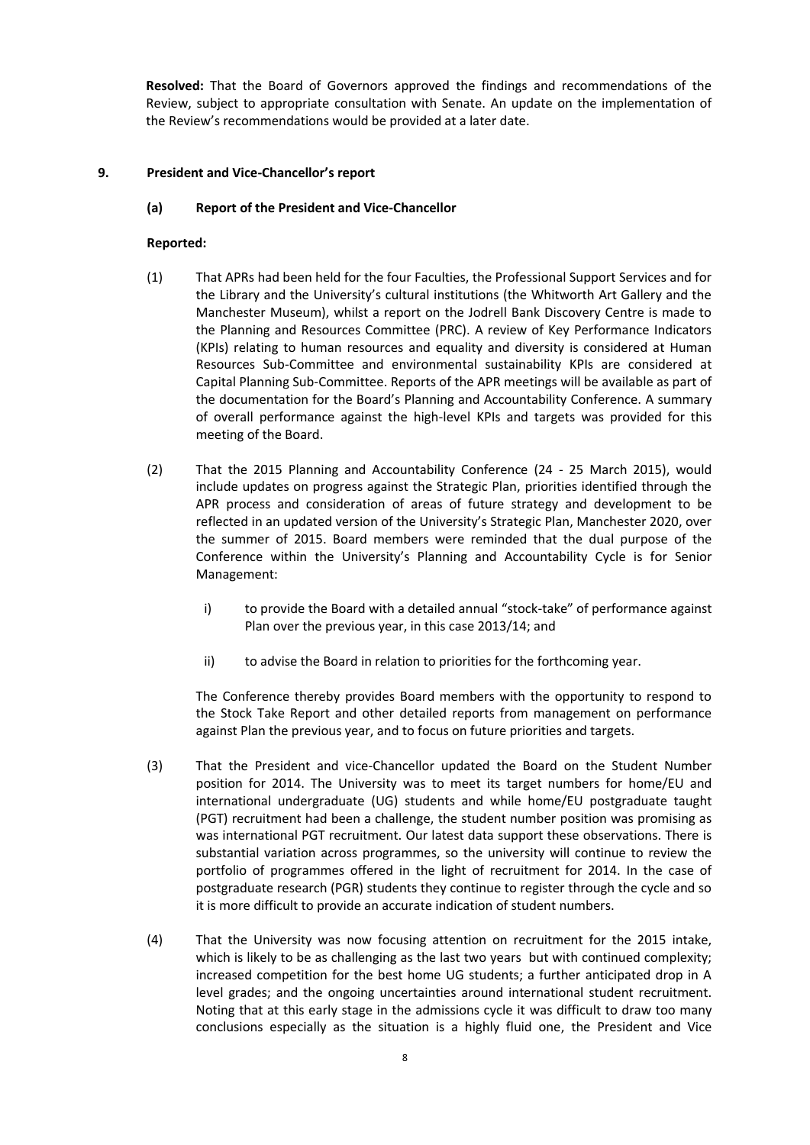**Resolved:** That the Board of Governors approved the findings and recommendations of the Review, subject to appropriate consultation with Senate. An update on the implementation of the Review's recommendations would be provided at a later date.

# **9. President and Vice-Chancellor's report**

## **(a) Report of the President and Vice-Chancellor**

## **Reported:**

- (1) That APRs had been held for the four Faculties, the Professional Support Services and for the Library and the University's cultural institutions (the Whitworth Art Gallery and the Manchester Museum), whilst a report on the Jodrell Bank Discovery Centre is made to the Planning and Resources Committee (PRC). A review of Key Performance Indicators (KPIs) relating to human resources and equality and diversity is considered at Human Resources Sub-Committee and environmental sustainability KPIs are considered at Capital Planning Sub-Committee. Reports of the APR meetings will be available as part of the documentation for the Board's Planning and Accountability Conference. A summary of overall performance against the high-level KPIs and targets was provided for this meeting of the Board.
- (2) That the 2015 Planning and Accountability Conference (24 25 March 2015), would include updates on progress against the Strategic Plan, priorities identified through the APR process and consideration of areas of future strategy and development to be reflected in an updated version of the University's Strategic Plan, Manchester 2020, over the summer of 2015. Board members were reminded that the dual purpose of the Conference within the University's Planning and Accountability Cycle is for Senior Management:
	- i) to provide the Board with a detailed annual "stock-take" of performance against Plan over the previous year, in this case 2013/14; and
	- ii) to advise the Board in relation to priorities for the forthcoming year.

The Conference thereby provides Board members with the opportunity to respond to the Stock Take Report and other detailed reports from management on performance against Plan the previous year, and to focus on future priorities and targets.

- (3) That the President and vice-Chancellor updated the Board on the Student Number position for 2014. The University was to meet its target numbers for home/EU and international undergraduate (UG) students and while home/EU postgraduate taught (PGT) recruitment had been a challenge, the student number position was promising as was international PGT recruitment. Our latest data support these observations. There is substantial variation across programmes, so the university will continue to review the portfolio of programmes offered in the light of recruitment for 2014. In the case of postgraduate research (PGR) students they continue to register through the cycle and so it is more difficult to provide an accurate indication of student numbers.
- (4) That the University was now focusing attention on recruitment for the 2015 intake, which is likely to be as challenging as the last two years but with continued complexity; increased competition for the best home UG students; a further anticipated drop in A level grades; and the ongoing uncertainties around international student recruitment. Noting that at this early stage in the admissions cycle it was difficult to draw too many conclusions especially as the situation is a highly fluid one, the President and Vice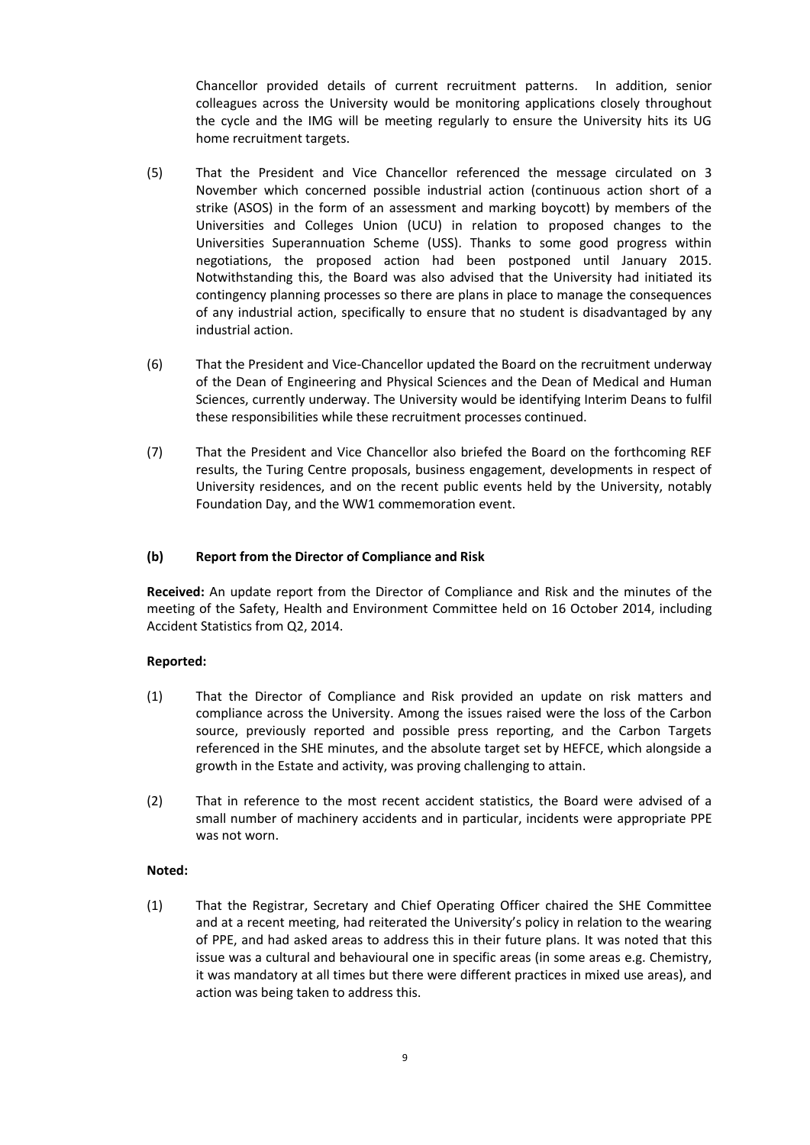Chancellor provided details of current recruitment patterns. In addition, senior colleagues across the University would be monitoring applications closely throughout the cycle and the IMG will be meeting regularly to ensure the University hits its UG home recruitment targets.

- (5) That the President and Vice Chancellor referenced the message circulated on 3 November which concerned possible industrial action (continuous action short of a strike (ASOS) in the form of an assessment and marking boycott) by members of the Universities and Colleges Union (UCU) in relation to proposed changes to the Universities Superannuation Scheme (USS). Thanks to some good progress within negotiations, the proposed action had been postponed until January 2015. Notwithstanding this, the Board was also advised that the University had initiated its contingency planning processes so there are plans in place to manage the consequences of any industrial action, specifically to ensure that no student is disadvantaged by any industrial action.
- (6) That the President and Vice-Chancellor updated the Board on the recruitment underway of the Dean of Engineering and Physical Sciences and the Dean of Medical and Human Sciences, currently underway. The University would be identifying Interim Deans to fulfil these responsibilities while these recruitment processes continued.
- (7) That the President and Vice Chancellor also briefed the Board on the forthcoming REF results, the Turing Centre proposals, business engagement, developments in respect of University residences, and on the recent public events held by the University, notably Foundation Day, and the WW1 commemoration event.

# **(b) Report from the Director of Compliance and Risk**

**Received:** An update report from the Director of Compliance and Risk and the minutes of the meeting of the Safety, Health and Environment Committee held on 16 October 2014, including Accident Statistics from Q2, 2014.

## **Reported:**

- (1) That the Director of Compliance and Risk provided an update on risk matters and compliance across the University. Among the issues raised were the loss of the Carbon source, previously reported and possible press reporting, and the Carbon Targets referenced in the SHE minutes, and the absolute target set by HEFCE, which alongside a growth in the Estate and activity, was proving challenging to attain.
- (2) That in reference to the most recent accident statistics, the Board were advised of a small number of machinery accidents and in particular, incidents were appropriate PPE was not worn.

## **Noted:**

(1) That the Registrar, Secretary and Chief Operating Officer chaired the SHE Committee and at a recent meeting, had reiterated the University's policy in relation to the wearing of PPE, and had asked areas to address this in their future plans. It was noted that this issue was a cultural and behavioural one in specific areas (in some areas e.g. Chemistry, it was mandatory at all times but there were different practices in mixed use areas), and action was being taken to address this.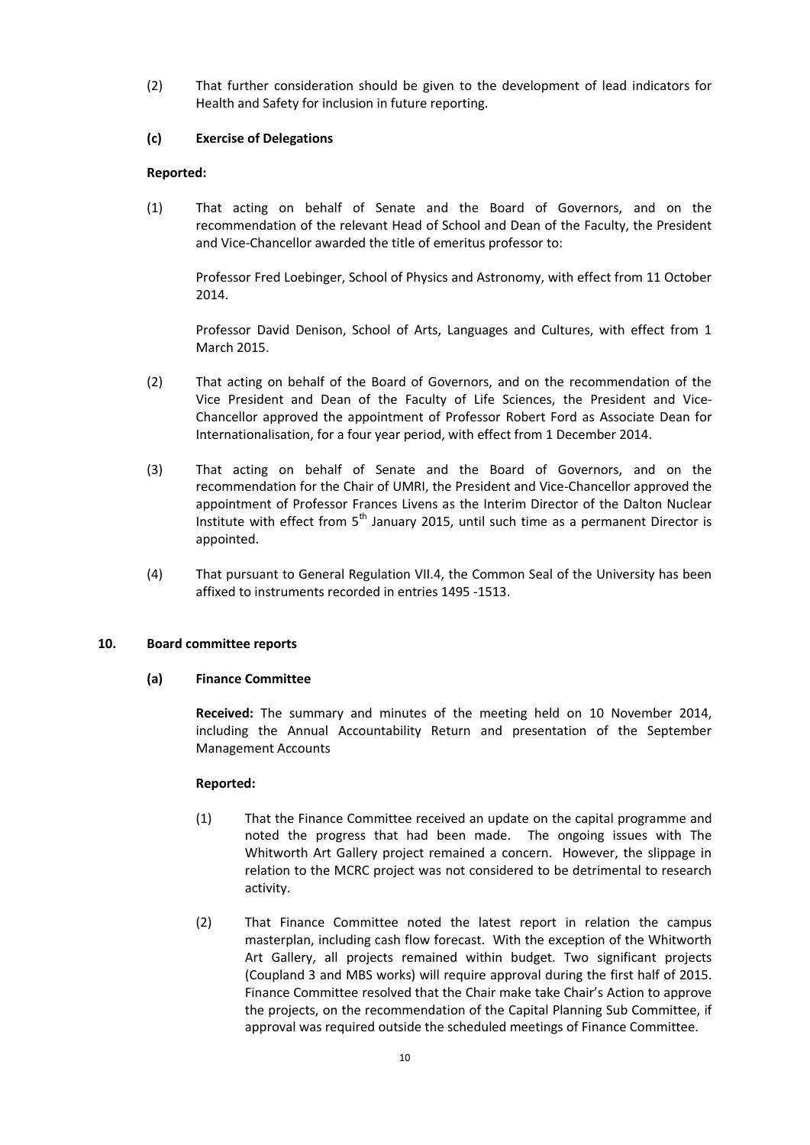(2) That further consideration should be given to the development of lead indicators for Health and Safety for inclusion in future reporting.

# **(c) Exercise of Delegations**

# **Reported:**

(1) That acting on behalf of Senate and the Board of Governors, and on the recommendation of the relevant Head of School and Dean of the Faculty, the President and Vice-Chancellor awarded the title of emeritus professor to:

Professor Fred Loebinger, School of Physics and Astronomy, with effect from 11 October 2014.

Professor David Denison, School of Arts, Languages and Cultures, with effect from 1 March 2015.

- (2) That acting on behalf of the Board of Governors, and on the recommendation of the Vice President and Dean of the Faculty of Life Sciences, the President and Vice-Chancellor approved the appointment of Professor Robert Ford as Associate Dean for Internationalisation, for a four year period, with effect from 1 December 2014.
- (3) That acting on behalf of Senate and the Board of Governors, and on the recommendation for the Chair of UMRI, the President and Vice-Chancellor approved the appointment of Professor Frances Livens as the Interim Director of the Dalton Nuclear Institute with effect from  $5<sup>th</sup>$  January 2015, until such time as a permanent Director is appointed.
- (4) That pursuant to General Regulation VII.4, the Common Seal of the University has been affixed to instruments recorded in entries 1495 -1513.

# **10. Board committee reports**

# **(a) Finance Committee**

**Received:** The summary and minutes of the meeting held on 10 November 2014, including the Annual Accountability Return and presentation of the September Management Accounts

## **Reported:**

- (1) That the Finance Committee received an update on the capital programme and noted the progress that had been made. The ongoing issues with The Whitworth Art Gallery project remained a concern. However, the slippage in relation to the MCRC project was not considered to be detrimental to research activity.
- (2) That Finance Committee noted the latest report in relation the campus masterplan, including cash flow forecast. With the exception of the Whitworth Art Gallery, all projects remained within budget. Two significant projects (Coupland 3 and MBS works) will require approval during the first half of 2015. Finance Committee resolved that the Chair make take Chair's Action to approve the projects, on the recommendation of the Capital Planning Sub Committee, if approval was required outside the scheduled meetings of Finance Committee.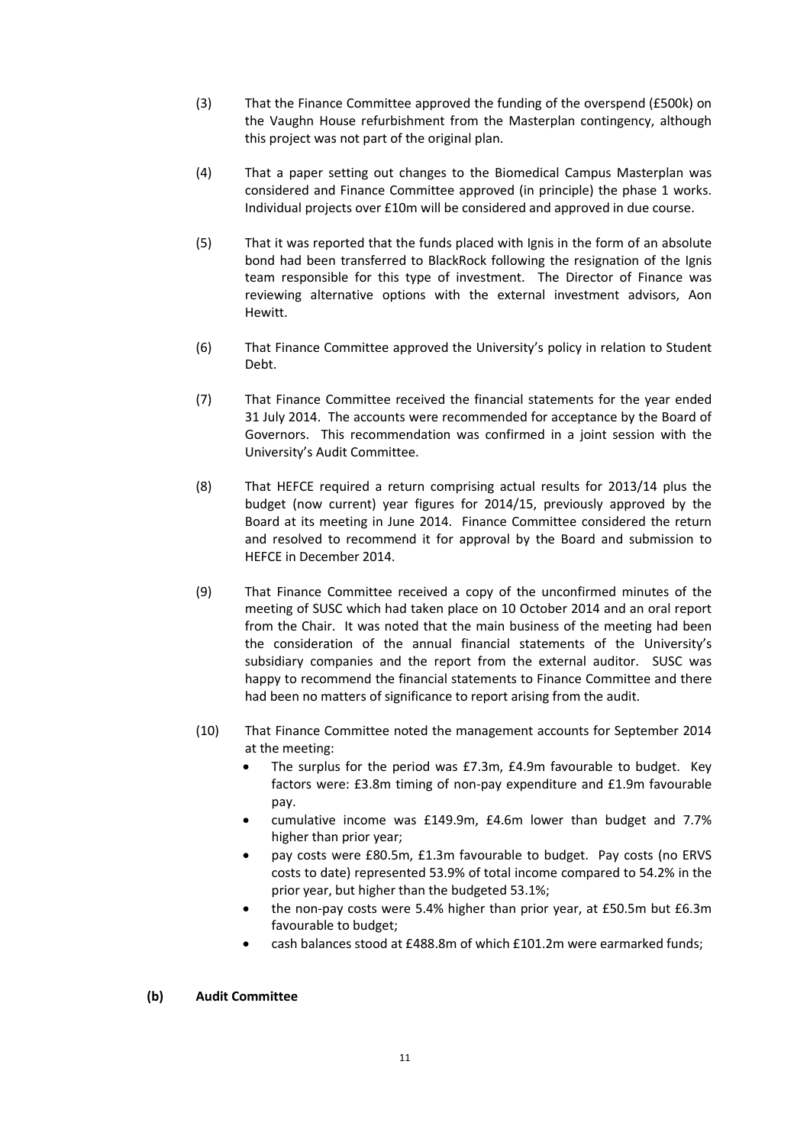- (3) That the Finance Committee approved the funding of the overspend (£500k) on the Vaughn House refurbishment from the Masterplan contingency, although this project was not part of the original plan.
- (4) That a paper setting out changes to the Biomedical Campus Masterplan was considered and Finance Committee approved (in principle) the phase 1 works. Individual projects over £10m will be considered and approved in due course.
- (5) That it was reported that the funds placed with Ignis in the form of an absolute bond had been transferred to BlackRock following the resignation of the Ignis team responsible for this type of investment. The Director of Finance was reviewing alternative options with the external investment advisors, Aon Hewitt.
- (6) That Finance Committee approved the University's policy in relation to Student Debt.
- (7) That Finance Committee received the financial statements for the year ended 31 July 2014. The accounts were recommended for acceptance by the Board of Governors. This recommendation was confirmed in a joint session with the University's Audit Committee.
- (8) That HEFCE required a return comprising actual results for 2013/14 plus the budget (now current) year figures for 2014/15, previously approved by the Board at its meeting in June 2014. Finance Committee considered the return and resolved to recommend it for approval by the Board and submission to HEFCE in December 2014.
- (9) That Finance Committee received a copy of the unconfirmed minutes of the meeting of SUSC which had taken place on 10 October 2014 and an oral report from the Chair. It was noted that the main business of the meeting had been the consideration of the annual financial statements of the University's subsidiary companies and the report from the external auditor. SUSC was happy to recommend the financial statements to Finance Committee and there had been no matters of significance to report arising from the audit.
- (10) That Finance Committee noted the management accounts for September 2014 at the meeting:
	- The surplus for the period was £7.3m, £4.9m favourable to budget. Key factors were: £3.8m timing of non-pay expenditure and £1.9m favourable pay.
	- cumulative income was £149.9m, £4.6m lower than budget and 7.7% higher than prior year;
	- pay costs were £80.5m, £1.3m favourable to budget. Pay costs (no ERVS costs to date) represented 53.9% of total income compared to 54.2% in the prior year, but higher than the budgeted 53.1%;
	- the non-pay costs were 5.4% higher than prior year, at £50.5m but £6.3m favourable to budget;
	- cash balances stood at £488.8m of which £101.2m were earmarked funds;

## **(b) Audit Committee**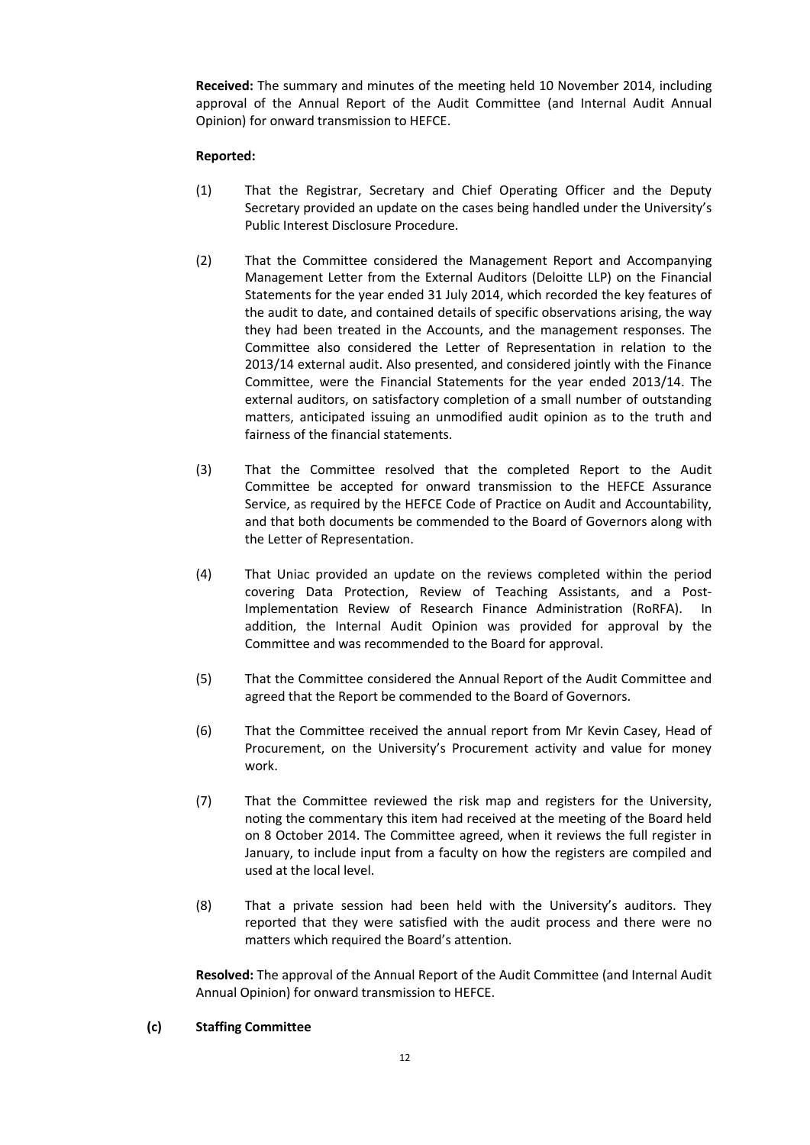**Received:** The summary and minutes of the meeting held 10 November 2014, including approval of the Annual Report of the Audit Committee (and Internal Audit Annual Opinion) for onward transmission to HEFCE.

## **Reported:**

- (1) That the Registrar, Secretary and Chief Operating Officer and the Deputy Secretary provided an update on the cases being handled under the University's Public Interest Disclosure Procedure.
- (2) That the Committee considered the Management Report and Accompanying Management Letter from the External Auditors (Deloitte LLP) on the Financial Statements for the year ended 31 July 2014, which recorded the key features of the audit to date, and contained details of specific observations arising, the way they had been treated in the Accounts, and the management responses. The Committee also considered the Letter of Representation in relation to the 2013/14 external audit. Also presented, and considered jointly with the Finance Committee, were the Financial Statements for the year ended 2013/14. The external auditors, on satisfactory completion of a small number of outstanding matters, anticipated issuing an unmodified audit opinion as to the truth and fairness of the financial statements.
- (3) That the Committee resolved that the completed Report to the Audit Committee be accepted for onward transmission to the HEFCE Assurance Service, as required by the HEFCE Code of Practice on Audit and Accountability, and that both documents be commended to the Board of Governors along with the Letter of Representation.
- (4) That Uniac provided an update on the reviews completed within the period covering Data Protection, Review of Teaching Assistants, and a Post-Implementation Review of Research Finance Administration (RoRFA). In addition, the Internal Audit Opinion was provided for approval by the Committee and was recommended to the Board for approval.
- (5) That the Committee considered the Annual Report of the Audit Committee and agreed that the Report be commended to the Board of Governors.
- (6) That the Committee received the annual report from Mr Kevin Casey, Head of Procurement, on the University's Procurement activity and value for money work.
- (7) That the Committee reviewed the risk map and registers for the University, noting the commentary this item had received at the meeting of the Board held on 8 October 2014. The Committee agreed, when it reviews the full register in January, to include input from a faculty on how the registers are compiled and used at the local level.
- (8) That a private session had been held with the University's auditors. They reported that they were satisfied with the audit process and there were no matters which required the Board's attention.

**Resolved:** The approval of the Annual Report of the Audit Committee (and Internal Audit Annual Opinion) for onward transmission to HEFCE.

## **(c) Staffing Committee**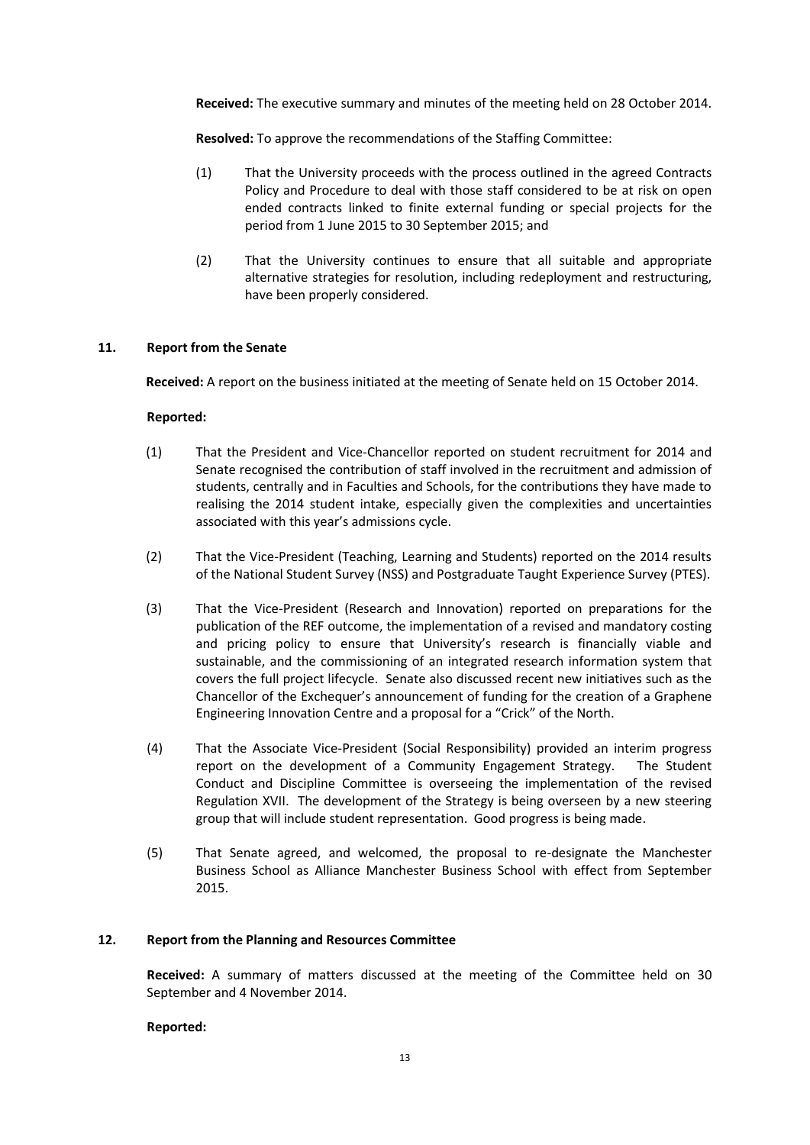**Received:** The executive summary and minutes of the meeting held on 28 October 2014.

**Resolved:** To approve the recommendations of the Staffing Committee:

- (1) That the University proceeds with the process outlined in the agreed Contracts Policy and Procedure to deal with those staff considered to be at risk on open ended contracts linked to finite external funding or special projects for the period from 1 June 2015 to 30 September 2015; and
- (2) That the University continues to ensure that all suitable and appropriate alternative strategies for resolution, including redeployment and restructuring, have been properly considered.

## **11. Report from the Senate**

**Received:** A report on the business initiated at the meeting of Senate held on 15 October 2014.

## **Reported:**

- (1) That the President and Vice-Chancellor reported on student recruitment for 2014 and Senate recognised the contribution of staff involved in the recruitment and admission of students, centrally and in Faculties and Schools, for the contributions they have made to realising the 2014 student intake, especially given the complexities and uncertainties associated with this year's admissions cycle.
- (2) That the Vice-President (Teaching, Learning and Students) reported on the 2014 results of the National Student Survey (NSS) and Postgraduate Taught Experience Survey (PTES).
- (3) That the Vice-President (Research and Innovation) reported on preparations for the publication of the REF outcome, the implementation of a revised and mandatory costing and pricing policy to ensure that University's research is financially viable and sustainable, and the commissioning of an integrated research information system that covers the full project lifecycle. Senate also discussed recent new initiatives such as the Chancellor of the Exchequer's announcement of funding for the creation of a Graphene Engineering Innovation Centre and a proposal for a "Crick" of the North.
- (4) That the Associate Vice-President (Social Responsibility) provided an interim progress report on the development of a Community Engagement Strategy. The Student Conduct and Discipline Committee is overseeing the implementation of the revised Regulation XVII. The development of the Strategy is being overseen by a new steering group that will include student representation. Good progress is being made.
- (5) That Senate agreed, and welcomed, the proposal to re-designate the Manchester Business School as Alliance Manchester Business School with effect from September 2015.

## **12. Report from the Planning and Resources Committee**

**Received:** A summary of matters discussed at the meeting of the Committee held on 30 September and 4 November 2014.

## **Reported:**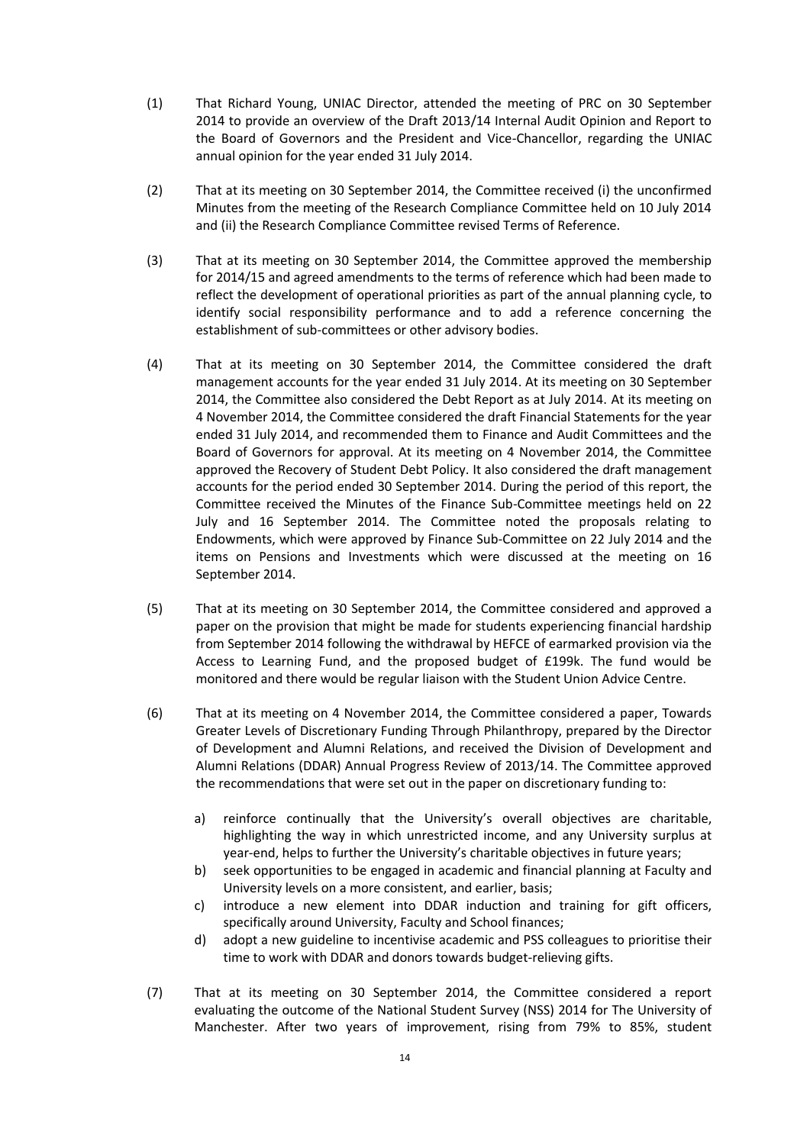- (1) That Richard Young, UNIAC Director, attended the meeting of PRC on 30 September 2014 to provide an overview of the Draft 2013/14 Internal Audit Opinion and Report to the Board of Governors and the President and Vice-Chancellor, regarding the UNIAC annual opinion for the year ended 31 July 2014.
- (2) That at its meeting on 30 September 2014, the Committee received (i) the unconfirmed Minutes from the meeting of the Research Compliance Committee held on 10 July 2014 and (ii) the Research Compliance Committee revised Terms of Reference.
- (3) That at its meeting on 30 September 2014, the Committee approved the membership for 2014/15 and agreed amendments to the terms of reference which had been made to reflect the development of operational priorities as part of the annual planning cycle, to identify social responsibility performance and to add a reference concerning the establishment of sub-committees or other advisory bodies.
- (4) That at its meeting on 30 September 2014, the Committee considered the draft management accounts for the year ended 31 July 2014. At its meeting on 30 September 2014, the Committee also considered the Debt Report as at July 2014. At its meeting on 4 November 2014, the Committee considered the draft Financial Statements for the year ended 31 July 2014, and recommended them to Finance and Audit Committees and the Board of Governors for approval. At its meeting on 4 November 2014, the Committee approved the Recovery of Student Debt Policy. It also considered the draft management accounts for the period ended 30 September 2014. During the period of this report, the Committee received the Minutes of the Finance Sub-Committee meetings held on 22 July and 16 September 2014. The Committee noted the proposals relating to Endowments, which were approved by Finance Sub-Committee on 22 July 2014 and the items on Pensions and Investments which were discussed at the meeting on 16 September 2014.
- (5) That at its meeting on 30 September 2014, the Committee considered and approved a paper on the provision that might be made for students experiencing financial hardship from September 2014 following the withdrawal by HEFCE of earmarked provision via the Access to Learning Fund, and the proposed budget of £199k. The fund would be monitored and there would be regular liaison with the Student Union Advice Centre.
- (6) That at its meeting on 4 November 2014, the Committee considered a paper, Towards Greater Levels of Discretionary Funding Through Philanthropy, prepared by the Director of Development and Alumni Relations, and received the Division of Development and Alumni Relations (DDAR) Annual Progress Review of 2013/14. The Committee approved the recommendations that were set out in the paper on discretionary funding to:
	- a) reinforce continually that the University's overall objectives are charitable, highlighting the way in which unrestricted income, and any University surplus at year-end, helps to further the University's charitable objectives in future years;
	- b) seek opportunities to be engaged in academic and financial planning at Faculty and University levels on a more consistent, and earlier, basis;
	- c) introduce a new element into DDAR induction and training for gift officers, specifically around University, Faculty and School finances;
	- d) adopt a new guideline to incentivise academic and PSS colleagues to prioritise their time to work with DDAR and donors towards budget-relieving gifts.
- (7) That at its meeting on 30 September 2014, the Committee considered a report evaluating the outcome of the National Student Survey (NSS) 2014 for The University of Manchester. After two years of improvement, rising from 79% to 85%, student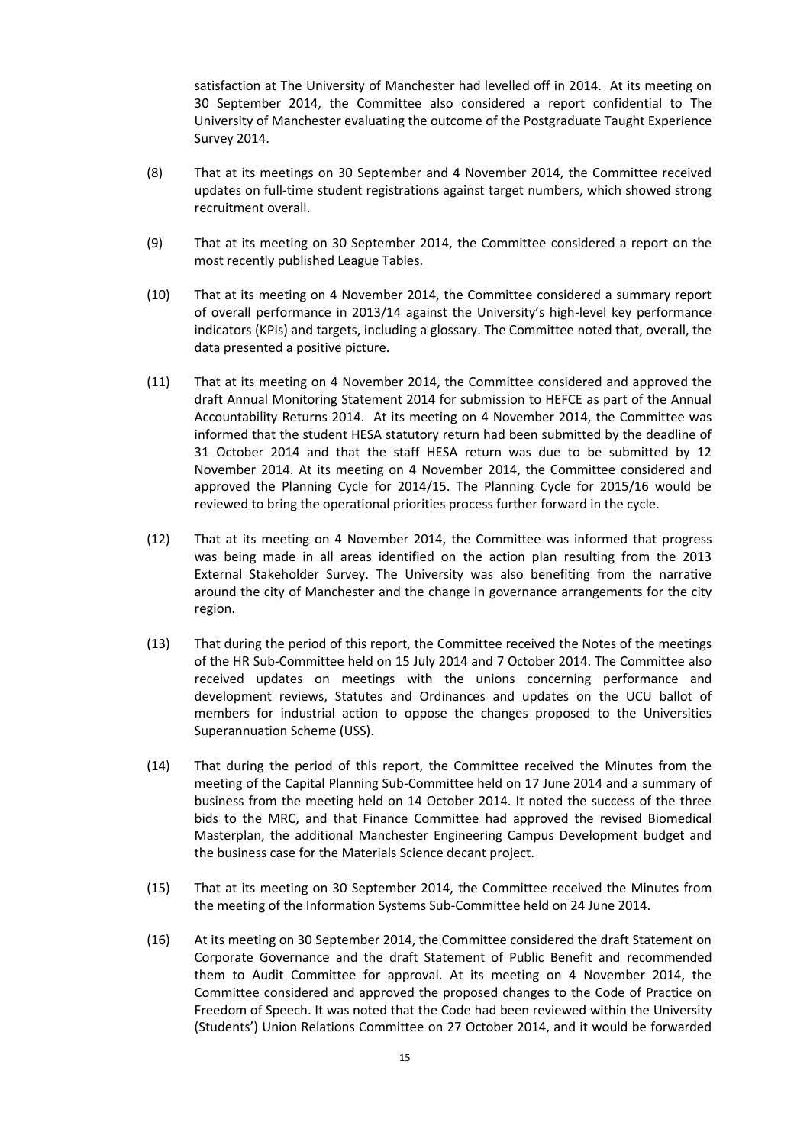satisfaction at The University of Manchester had levelled off in 2014. At its meeting on 30 September 2014, the Committee also considered a report confidential to The University of Manchester evaluating the outcome of the Postgraduate Taught Experience Survey 2014.

- (8) That at its meetings on 30 September and 4 November 2014, the Committee received updates on full-time student registrations against target numbers, which showed strong recruitment overall.
- (9) That at its meeting on 30 September 2014, the Committee considered a report on the most recently published League Tables.
- (10) That at its meeting on 4 November 2014, the Committee considered a summary report of overall performance in 2013/14 against the University's high-level key performance indicators (KPIs) and targets, including a glossary. The Committee noted that, overall, the data presented a positive picture.
- (11) That at its meeting on 4 November 2014, the Committee considered and approved the draft Annual Monitoring Statement 2014 for submission to HEFCE as part of the Annual Accountability Returns 2014. At its meeting on 4 November 2014, the Committee was informed that the student HESA statutory return had been submitted by the deadline of 31 October 2014 and that the staff HESA return was due to be submitted by 12 November 2014. At its meeting on 4 November 2014, the Committee considered and approved the Planning Cycle for 2014/15. The Planning Cycle for 2015/16 would be reviewed to bring the operational priorities process further forward in the cycle.
- (12) That at its meeting on 4 November 2014, the Committee was informed that progress was being made in all areas identified on the action plan resulting from the 2013 External Stakeholder Survey. The University was also benefiting from the narrative around the city of Manchester and the change in governance arrangements for the city region.
- (13) That during the period of this report, the Committee received the Notes of the meetings of the HR Sub-Committee held on 15 July 2014 and 7 October 2014. The Committee also received updates on meetings with the unions concerning performance and development reviews, Statutes and Ordinances and updates on the UCU ballot of members for industrial action to oppose the changes proposed to the Universities Superannuation Scheme (USS).
- (14) That during the period of this report, the Committee received the Minutes from the meeting of the Capital Planning Sub-Committee held on 17 June 2014 and a summary of business from the meeting held on 14 October 2014. It noted the success of the three bids to the MRC, and that Finance Committee had approved the revised Biomedical Masterplan, the additional Manchester Engineering Campus Development budget and the business case for the Materials Science decant project.
- (15) That at its meeting on 30 September 2014, the Committee received the Minutes from the meeting of the Information Systems Sub-Committee held on 24 June 2014.
- (16) At its meeting on 30 September 2014, the Committee considered the draft Statement on Corporate Governance and the draft Statement of Public Benefit and recommended them to Audit Committee for approval. At its meeting on 4 November 2014, the Committee considered and approved the proposed changes to the Code of Practice on Freedom of Speech. It was noted that the Code had been reviewed within the University (Students') Union Relations Committee on 27 October 2014, and it would be forwarded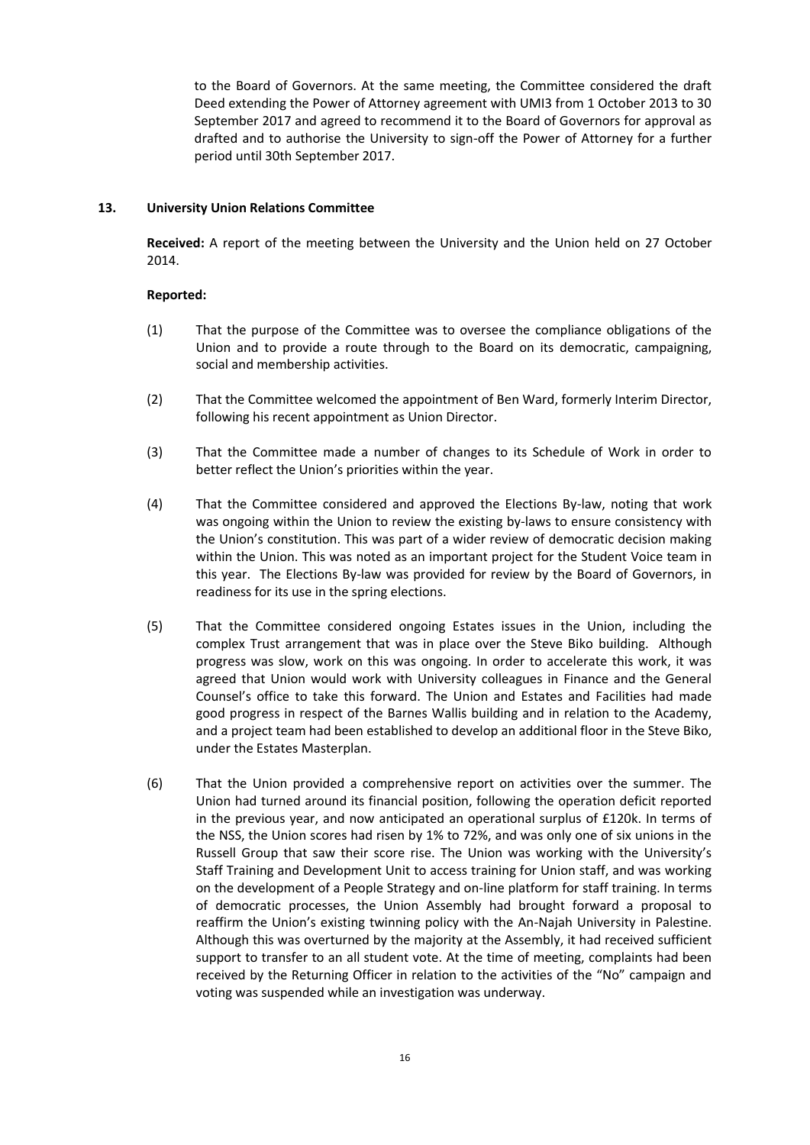to the Board of Governors. At the same meeting, the Committee considered the draft Deed extending the Power of Attorney agreement with UMI3 from 1 October 2013 to 30 September 2017 and agreed to recommend it to the Board of Governors for approval as drafted and to authorise the University to sign-off the Power of Attorney for a further period until 30th September 2017.

## **13. University Union Relations Committee**

**Received:** A report of the meeting between the University and the Union held on 27 October 2014.

## **Reported:**

- (1) That the purpose of the Committee was to oversee the compliance obligations of the Union and to provide a route through to the Board on its democratic, campaigning, social and membership activities.
- (2) That the Committee welcomed the appointment of Ben Ward, formerly Interim Director, following his recent appointment as Union Director.
- (3) That the Committee made a number of changes to its Schedule of Work in order to better reflect the Union's priorities within the year.
- (4) That the Committee considered and approved the Elections By-law, noting that work was ongoing within the Union to review the existing by-laws to ensure consistency with the Union's constitution. This was part of a wider review of democratic decision making within the Union. This was noted as an important project for the Student Voice team in this year. The Elections By-law was provided for review by the Board of Governors, in readiness for its use in the spring elections.
- (5) That the Committee considered ongoing Estates issues in the Union, including the complex Trust arrangement that was in place over the Steve Biko building. Although progress was slow, work on this was ongoing. In order to accelerate this work, it was agreed that Union would work with University colleagues in Finance and the General Counsel's office to take this forward. The Union and Estates and Facilities had made good progress in respect of the Barnes Wallis building and in relation to the Academy, and a project team had been established to develop an additional floor in the Steve Biko, under the Estates Masterplan.
- (6) That the Union provided a comprehensive report on activities over the summer. The Union had turned around its financial position, following the operation deficit reported in the previous year, and now anticipated an operational surplus of £120k. In terms of the NSS, the Union scores had risen by 1% to 72%, and was only one of six unions in the Russell Group that saw their score rise. The Union was working with the University's Staff Training and Development Unit to access training for Union staff, and was working on the development of a People Strategy and on-line platform for staff training. In terms of democratic processes, the Union Assembly had brought forward a proposal to reaffirm the Union's existing twinning policy with the An-Najah University in Palestine. Although this was overturned by the majority at the Assembly, it had received sufficient support to transfer to an all student vote. At the time of meeting, complaints had been received by the Returning Officer in relation to the activities of the "No" campaign and voting was suspended while an investigation was underway.